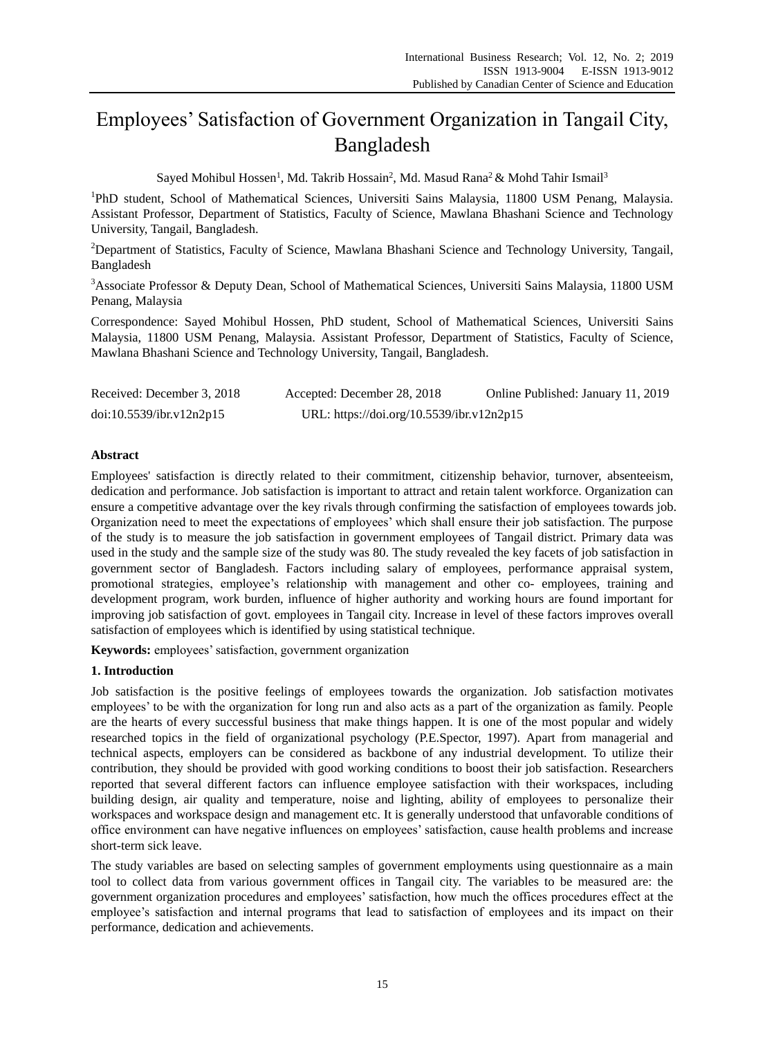# Employees" Satisfaction of Government Organization in Tangail City, Bangladesh

Sayed Mohibul Hossen<sup>1</sup>, Md. Takrib Hossain<sup>2</sup>, Md. Masud Rana<sup>2</sup> & Mohd Tahir Ismail<sup>3</sup>

<sup>1</sup>PhD student, School of Mathematical Sciences, Universiti Sains Malaysia, 11800 USM Penang, Malaysia. Assistant Professor, Department of Statistics, Faculty of Science, Mawlana Bhashani Science and Technology University, Tangail, Bangladesh.

<sup>2</sup>Department of Statistics, Faculty of Science, Mawlana Bhashani Science and Technology University, Tangail, Bangladesh

<sup>3</sup>Associate Professor & Deputy Dean, School of Mathematical Sciences, Universiti Sains Malaysia, 11800 USM Penang, Malaysia

Correspondence: Sayed Mohibul Hossen, PhD student, School of Mathematical Sciences, Universiti Sains Malaysia, 11800 USM Penang, Malaysia. Assistant Professor, Department of Statistics, Faculty of Science, Mawlana Bhashani Science and Technology University, Tangail, Bangladesh.

| Received: December 3, 2018 | Accepted: December 28, 2018               | Online Published: January 11, 2019 |
|----------------------------|-------------------------------------------|------------------------------------|
| doi:10.5539/ibr.v12n2p15   | URL: https://doi.org/10.5539/ibr.v12n2p15 |                                    |

# **Abstract**

Employees' satisfaction is directly related to their commitment, citizenship behavior, turnover, absenteeism, dedication and performance. Job satisfaction is important to attract and retain talent workforce. Organization can ensure a competitive advantage over the key rivals through confirming the satisfaction of employees towards job. Organization need to meet the expectations of employees" which shall ensure their job satisfaction. The purpose of the study is to measure the job satisfaction in government employees of Tangail district. Primary data was used in the study and the sample size of the study was 80. The study revealed the key facets of job satisfaction in government sector of Bangladesh. Factors including salary of employees, performance appraisal system, promotional strategies, employee"s relationship with management and other co- employees, training and development program, work burden, influence of higher authority and working hours are found important for improving job satisfaction of govt. employees in Tangail city. Increase in level of these factors improves overall satisfaction of employees which is identified by using statistical technique.

**Keywords:** employees" satisfaction, government organization

# **1. Introduction**

Job satisfaction is the positive feelings of employees towards the organization. Job satisfaction motivates employees" to be with the organization for long run and also acts as a part of the organization as family. People are the hearts of every successful business that make things happen. It is one of the most popular and widely researched topics in the field of organizational psychology (P.E.Spector, 1997). Apart from managerial and technical aspects, employers can be considered as backbone of any industrial development. To utilize their contribution, they should be provided with good working conditions to boost their job satisfaction. Researchers reported that several different factors can influence employee satisfaction with their workspaces, including building design, air quality and temperature, noise and lighting, ability of employees to personalize their workspaces and workspace design and management etc. It is generally understood that unfavorable conditions of office environment can have negative influences on employees" satisfaction, cause health problems and increase short-term sick leave.

The study variables are based on selecting samples of government employments using questionnaire as a main tool to collect data from various government offices in Tangail city. The variables to be measured are: the government organization procedures and employees" satisfaction, how much the offices procedures effect at the employee"s satisfaction and internal programs that lead to satisfaction of employees and its impact on their performance, dedication and achievements.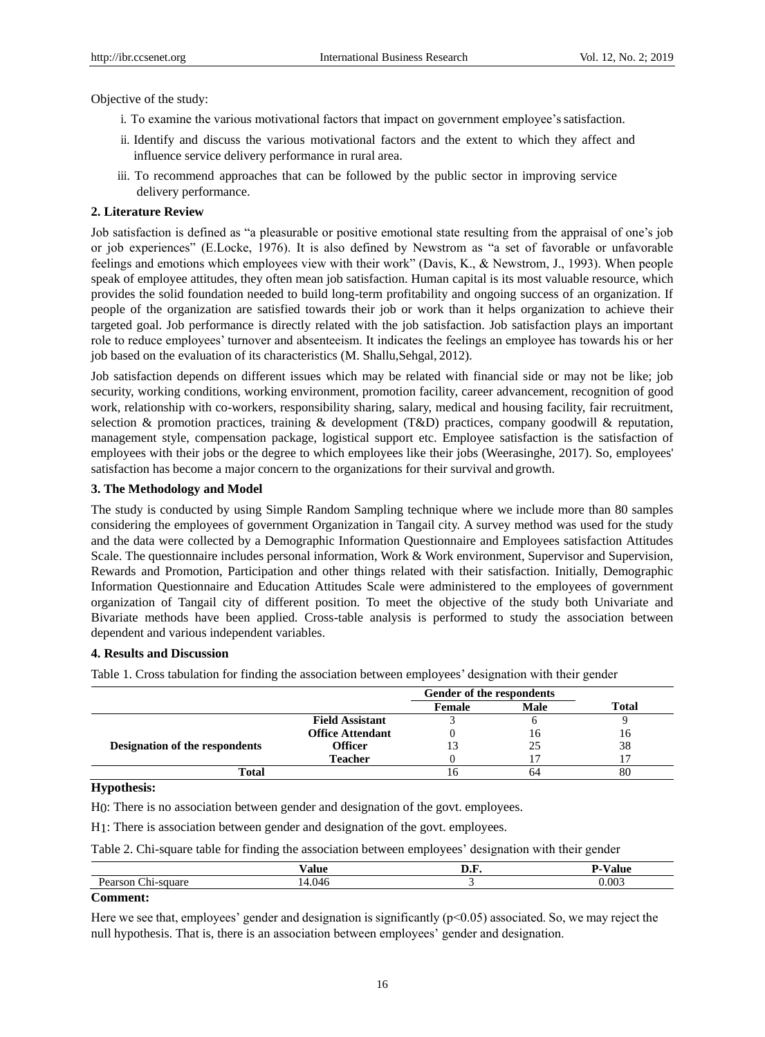Objective of the study:

- i. To examine the various motivational factors that impact on government employee's satisfaction.
- ii. Identify and discuss the various motivational factors and the extent to which they affect and influence service delivery performance in rural area.
- iii. To recommend approaches that can be followed by the public sector in improving service delivery performance.

#### **2. Literature Review**

Job satisfaction is defined as "a pleasurable or positive emotional state resulting from the appraisal of one's job or job experiences" (E.Locke, 1976). It is also defined by Newstrom as "a set of favorable or unfavorable feelings and emotions which employees view with their work" (Davis, K., & Newstrom, J., 1993). When people speak of employee attitudes, they often mean job satisfaction. Human capital is its most valuable resource, which provides the solid foundation needed to build long-term profitability and ongoing success of an organization. If people of the organization are satisfied towards their job or work than it helps organization to achieve their targeted goal. Job performance is directly related with the job satisfaction. Job satisfaction plays an important role to reduce employees" turnover and absenteeism. It indicates the feelings an employee has towards his or her job based on the evaluation of its characteristics (M. Shallu,Sehgal, 2012).

Job satisfaction depends on different issues which may be related with financial side or may not be like; job security, working conditions, working environment, promotion facility, career advancement, recognition of good work, relationship with co-workers, responsibility sharing, salary, medical and housing facility, fair recruitment, selection & promotion practices, training & development (T&D) practices, company goodwill & reputation, management style, compensation package, logistical support etc. Employee satisfaction is the satisfaction of employees with their jobs or the degree to which employees like their jobs (Weerasinghe, 2017). So, employees' satisfaction has become a major concern to the organizations for their survival and growth.

#### **3. The Methodology and Model**

The study is conducted by using Simple Random Sampling technique where we include more than 80 samples considering the employees of government Organization in Tangail city. A survey method was used for the study and the data were collected by a Demographic Information Questionnaire and Employees satisfaction Attitudes Scale. The questionnaire includes personal information, Work & Work environment, Supervisor and Supervision, Rewards and Promotion, Participation and other things related with their satisfaction. Initially, Demographic Information Questionnaire and Education Attitudes Scale were administered to the employees of government organization of Tangail city of different position. To meet the objective of the study both Univariate and Bivariate methods have been applied. Cross-table analysis is performed to study the association between dependent and various independent variables.

# **4. Results and Discussion**

Table 1. Cross tabulation for finding the association between employees" designation with their gender

|                                |                         | Gender of the respondents |             |              |
|--------------------------------|-------------------------|---------------------------|-------------|--------------|
|                                |                         | Female                    | <b>Male</b> | <b>Total</b> |
|                                | <b>Field Assistant</b>  |                           |             |              |
|                                | <b>Office Attendant</b> |                           | ın          | ın           |
| Designation of the respondents | Officer                 | 13                        |             | 38           |
|                                | <b>Teacher</b>          |                           |             |              |
| Total                          |                         |                           |             | 80           |

#### **Hypothesis:**

H0: There is no association between gender and designation of the govt. employees.

H1: There is association between gender and designation of the govt. employees.

Table 2. Chi-square table for finding the association between employees" designation with their gender

|        | $- -$<br>$\sim$ $\sim$ | $- -$           |
|--------|------------------------|-----------------|
| ---    | (14)                   | 00 <sup>2</sup> |
| $\sim$ |                        |                 |

## **Comment:**

Here we see that, employees' gender and designation is significantly  $(p<0.05)$  associated. So, we may reject the null hypothesis. That is, there is an association between employees' gender and designation.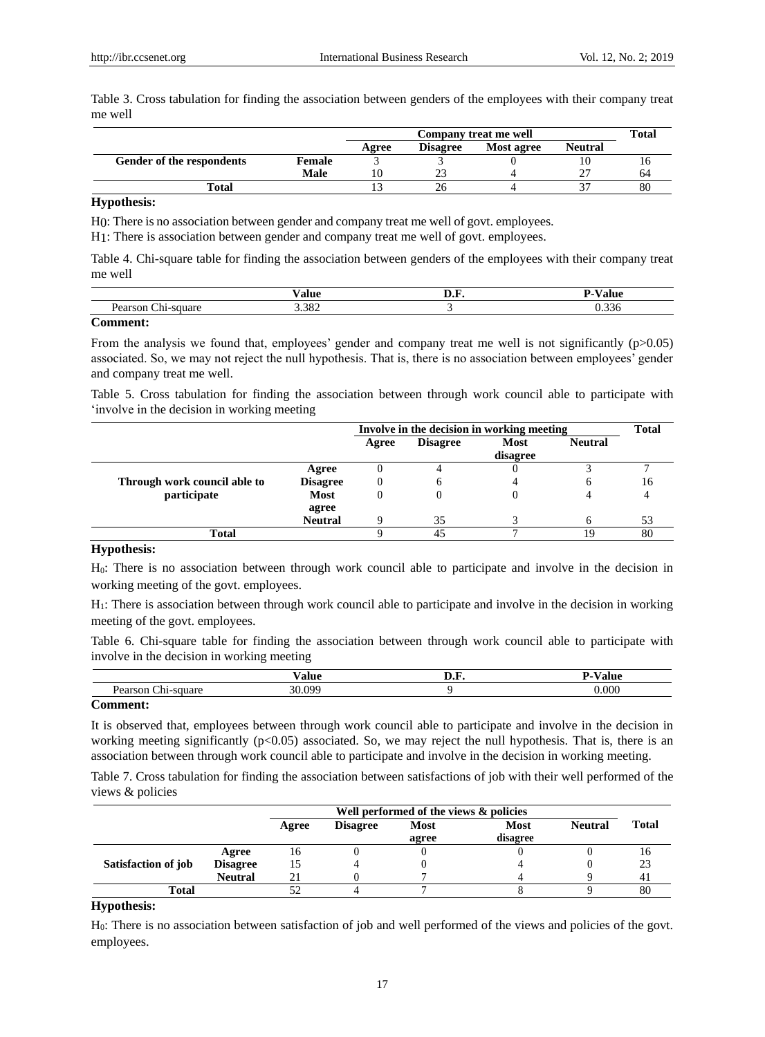Table 3. Cross tabulation for finding the association between genders of the employees with their company treat me well

|                           |               |       | Company treat me well |            |                |    |
|---------------------------|---------------|-------|-----------------------|------------|----------------|----|
|                           |               | Agree | <b>Disagree</b>       | Most agree | <b>Neutral</b> |    |
| Gender of the respondents | <b>Female</b> |       |                       |            |                | 10 |
|                           | Male          |       |                       |            |                | 64 |
| Total                     |               |       |                       |            |                | 80 |

## **Hypothesis:**

H0: There is no association between gender and company treat me well of govt. employees.

H1: There is association between gender and company treat me well of govt. employees.

Table 4. Chi-square table for finding the association between genders of the employees with their company treat me well

|        | $-1$<br>--<br>alu | .                       |
|--------|-------------------|-------------------------|
|        | .38 <sup>2</sup>  | $\sim$<br>$\mathcal{F}$ |
| $\sim$ |                   |                         |

## **Comment:**

From the analysis we found that, employees' gender and company treat me well is not significantly  $(p>0.05)$ associated. So, we may not reject the null hypothesis. That is, there is no association between employees" gender and company treat me well.

Table 5. Cross tabulation for finding the association between through work council able to participate with involve in the decision in working meeting

|                              |                 | Involve in the decision in working meeting |                 |          | <b>Total</b>   |    |
|------------------------------|-----------------|--------------------------------------------|-----------------|----------|----------------|----|
|                              |                 | Agree                                      | <b>Disagree</b> | Most     | <b>Neutral</b> |    |
|                              |                 |                                            |                 | disagree |                |    |
|                              | Agree           |                                            |                 |          |                |    |
| Through work council able to | <b>Disagree</b> |                                            |                 |          |                | 16 |
| participate                  | <b>Most</b>     |                                            |                 |          |                |    |
|                              | agree           |                                            |                 |          |                |    |
|                              | <b>Neutral</b>  |                                            | 35              |          |                | 53 |
| Total                        |                 |                                            | 45              |          | 19             | 80 |

# **Hypothesis:**

H0: There is no association between through work council able to participate and involve in the decision in working meeting of the govt. employees.

H1: There is association between through work council able to participate and involve in the decision in working meeting of the govt. employees.

Table 6. Chi-square table for finding the association between through work council able to participate with involve in the decision in working meeting

|                                   | $\mathbf{r}$<br>$\mathbf{v}$ of $\mathbf{v}$<br>aıu |      |
|-----------------------------------|-----------------------------------------------------|------|
|                                   | - -                                                 | .000 |
| <b>Contract Contract Contract</b> |                                                     |      |

#### **Comment:**

It is observed that, employees between through work council able to participate and involve in the decision in working meeting significantly (p<0.05) associated. So, we may reject the null hypothesis. That is, there is an association between through work council able to participate and involve in the decision in working meeting.

Table 7. Cross tabulation for finding the association between satisfactions of job with their well performed of the views & policies

|                     |                 |       | Well performed of the views & policies |                      |                         |                |       |
|---------------------|-----------------|-------|----------------------------------------|----------------------|-------------------------|----------------|-------|
|                     |                 | Agree | <b>Disagree</b>                        | <b>Most</b><br>agree | <b>Most</b><br>disagree | <b>Neutral</b> | Total |
|                     | Agree           | 16    |                                        |                      |                         |                | 10    |
| Satisfaction of job | <b>Disagree</b> | 15    |                                        |                      |                         |                | 23    |
|                     | <b>Neutral</b>  |       |                                        |                      |                         |                |       |
| Total               |                 |       |                                        |                      |                         |                | 80    |

# **Hypothesis:**

H0: There is no association between satisfaction of job and well performed of the views and policies of the govt. employees.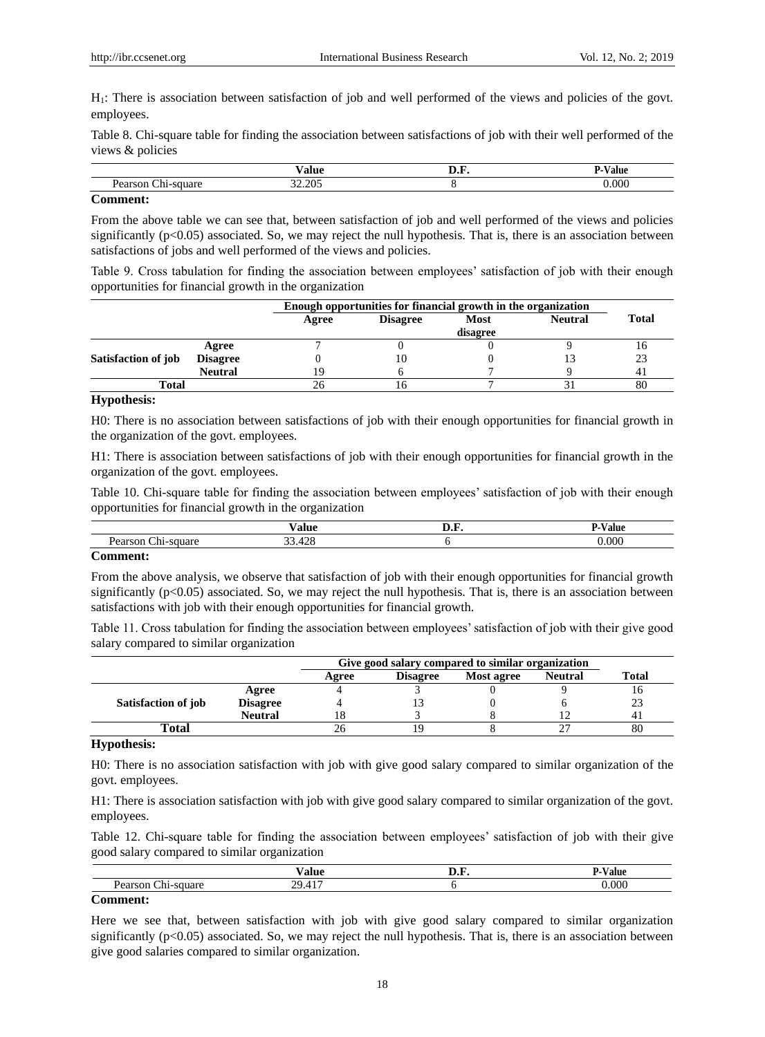H1: There is association between satisfaction of job and well performed of the views and policies of the govt. employees.

Table 8. Chi-square table for finding the association between satisfactions of job with their well performed of the views & policies

|     | <b>. .</b>                              | иш |
|-----|-----------------------------------------|----|
|     | n c<br>$\sim$ $\sim$ $\sim$<br>71.<br>. |    |
| $-$ |                                         |    |

#### **Comment:**

From the above table we can see that, between satisfaction of job and well performed of the views and policies significantly  $(p<0.05)$  associated. So, we may reject the null hypothesis. That is, there is an association between satisfactions of jobs and well performed of the views and policies.

Table 9. Cross tabulation for finding the association between employees" satisfaction of job with their enough opportunities for financial growth in the organization

|                     |                 |       | Enough opportunities for financial growth in the organization |          |                |              |
|---------------------|-----------------|-------|---------------------------------------------------------------|----------|----------------|--------------|
|                     |                 | Agree | <b>Disagree</b>                                               | Most     | <b>Neutral</b> | <b>Total</b> |
|                     |                 |       |                                                               | disagree |                |              |
|                     | Agree           |       |                                                               |          |                |              |
| Satisfaction of job | <b>Disagree</b> |       | 10                                                            |          |                | 23           |
|                     | <b>Neutral</b>  | 19    |                                                               |          |                |              |
| Total               |                 |       | 10                                                            |          |                | 80           |

# **Hypothesis:**

H0: There is no association between satisfactions of job with their enough opportunities for financial growth in the organization of the govt. employees.

H1: There is association between satisfactions of job with their enough opportunities for financial growth in the organization of the govt. employees.

Table 10. Chi-square table for finding the association between employees" satisfaction of job with their enough opportunities for financial growth in the organization

|    | $\sim$ $\sim$ $\sim$ | 'alue<br>. |
|----|----------------------|------------|
| -- | $\sim$<br>~          | 000        |
|    |                      |            |

#### **Comment:**

From the above analysis, we observe that satisfaction of job with their enough opportunities for financial growth significantly (p<0.05) associated. So, we may reject the null hypothesis. That is, there is an association between satisfactions with job with their enough opportunities for financial growth.

Table 11. Cross tabulation for finding the association between employees" satisfaction of job with their give good salary compared to similar organization

|                     |                 |       | Give good salary compared to similar organization |            |                |       |  |
|---------------------|-----------------|-------|---------------------------------------------------|------------|----------------|-------|--|
|                     |                 | Agree | <b>Disagree</b>                                   | Most agree | <b>Neutral</b> | Total |  |
|                     | Agree           |       |                                                   |            |                | 10    |  |
| Satisfaction of job | <b>Disagree</b> |       |                                                   |            |                | 23    |  |
|                     | <b>Neutral</b>  |       |                                                   |            |                |       |  |
| Total               |                 |       |                                                   |            | $\sim$         | 80    |  |

#### **Hypothesis:**

H0: There is no association satisfaction with job with give good salary compared to similar organization of the govt. employees.

H1: There is association satisfaction with job with give good salary compared to similar organization of the govt. employees.

Table 12. Chi-square table for finding the association between employees" satisfaction of job with their give good salary compared to similar organization

|        | $ -$            | яш. |
|--------|-----------------|-----|
|        | . .<br>$\Omega$ |     |
| $\sim$ |                 |     |

# **Comment:**

Here we see that, between satisfaction with job with give good salary compared to similar organization significantly  $(p<0.05)$  associated. So, we may reject the null hypothesis. That is, there is an association between give good salaries compared to similar organization.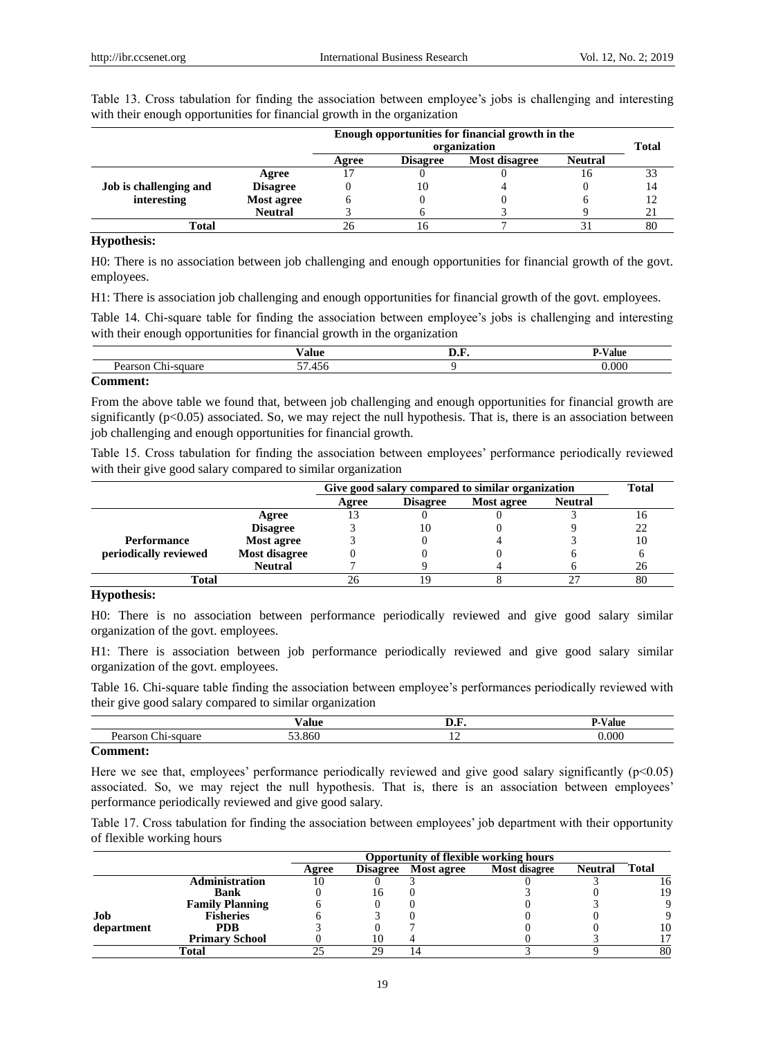|                        |                 | Enough opportunities for financial growth in the<br>organization |                                                    |  |    | <b>Total</b> |  |  |
|------------------------|-----------------|------------------------------------------------------------------|----------------------------------------------------|--|----|--------------|--|--|
|                        |                 | Agree                                                            | Most disagree<br><b>Disagree</b><br><b>Neutral</b> |  |    |              |  |  |
|                        | Agree           |                                                                  |                                                    |  | 16 | 33           |  |  |
| Job is challenging and | <b>Disagree</b> |                                                                  | 10                                                 |  |    | 14           |  |  |
| interesting            | Most agree      |                                                                  |                                                    |  |    | 12           |  |  |
|                        | <b>Neutral</b>  |                                                                  |                                                    |  |    |              |  |  |
| <b>Total</b>           |                 |                                                                  | Iб                                                 |  |    | 80           |  |  |

Table 13. Cross tabulation for finding the association between employee"s jobs is challenging and interesting with their enough opportunities for financial growth in the organization

#### **Hypothesis:**

H0: There is no association between job challenging and enough opportunities for financial growth of the govt. employees.

H1: There is association job challenging and enough opportunities for financial growth of the govt. employees.

Table 14. Chi-square table for finding the association between employee"s jobs is challenging and interesting with their enough opportunities for financial growth in the organization

|        | $- -$<br>----<br>.                         | <br>аш |
|--------|--------------------------------------------|--------|
|        | $-1$<br>$\overline{\phantom{0}}$<br>$\sim$ | nnn    |
| $\sim$ |                                            |        |

# **Comment:**

From the above table we found that, between job challenging and enough opportunities for financial growth are significantly  $(p<0.05)$  associated. So, we may reject the null hypothesis. That is, there is an association between job challenging and enough opportunities for financial growth.

Table 15. Cross tabulation for finding the association between employees' performance periodically reviewed with their give good salary compared to similar organization

|                       |                 |       | Give good salary compared to similar organization |            |                |    |
|-----------------------|-----------------|-------|---------------------------------------------------|------------|----------------|----|
|                       |                 | Agree | <b>Disagree</b>                                   | Most agree | <b>Neutral</b> |    |
|                       | Agree           | 13    |                                                   |            |                |    |
|                       | <b>Disagree</b> |       | 10                                                |            |                |    |
| <b>Performance</b>    | Most agree      |       |                                                   |            |                | 10 |
| periodically reviewed | Most disagree   |       |                                                   |            |                |    |
|                       | <b>Neutral</b>  |       |                                                   |            |                | 26 |
| <b>Total</b>          |                 |       |                                                   |            | 80             |    |

# **Hypothesis:**

H0: There is no association between performance periodically reviewed and give good salary similar organization of the govt. employees.

H1: There is association between job performance periodically reviewed and give good salary similar organization of the govt. employees.

Table 16. Chi-square table finding the association between employee"s performances periodically reviewed with their give good salary compared to similar organization

|               | --<br>, <i>.</i><br>alut |                | $- -$<br>'alu |
|---------------|--------------------------|----------------|---------------|
| --<br>. .<br> | $\sim$<br>- -            | $\overline{1}$ | .000          |
| $\sim$        |                          |                |               |

#### **Comment:**

Here we see that, employees' performance periodically reviewed and give good salary significantly  $(p<0.05)$ associated. So, we may reject the null hypothesis. That is, there is an association between employees" performance periodically reviewed and give good salary.

Table 17. Cross tabulation for finding the association between employees" job department with their opportunity of flexible working hours

|            |                        | <b>Opportunity of flexible working hours</b> |    |                     |               |                |              |
|------------|------------------------|----------------------------------------------|----|---------------------|---------------|----------------|--------------|
|            |                        | Agree                                        |    | Disagree Most agree | Most disagree | <b>Neutral</b> | <b>Total</b> |
|            | Administration         | 10                                           |    |                     |               |                | 16           |
|            | <b>Bank</b>            |                                              |    |                     |               |                | 19           |
|            | <b>Family Planning</b> |                                              |    |                     |               |                |              |
| Job        | <b>Fisheries</b>       |                                              |    |                     |               |                |              |
| department | <b>PDB</b>             |                                              |    |                     |               |                | 10           |
|            | <b>Primary School</b>  |                                              |    |                     |               |                |              |
|            | Total                  |                                              | 20 |                     |               |                | 80           |